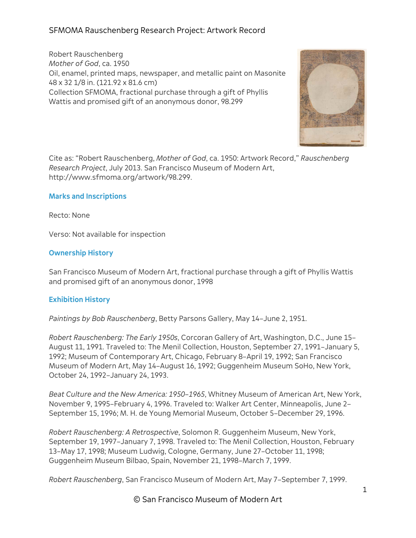Robert Rauschenberg *Mother of God*, ca. 1950 Oil, enamel, printed maps, newspaper, and metallic paint on Masonite 48 x 32 1/8 in. (121.92 x 81.6 cm) Collection SFMOMA, fractional purchase through a gift of Phyllis Wattis and promised gift of an anonymous donor, 98.299



Cite as: "Robert Rauschenberg, *Mother of God*, ca. 1950: Artwork Record," *Rauschenberg Research Project*, July 2013. San Francisco Museum of Modern Art, http://www.sfmoma.org/artwork/98.299.

## **Marks and Inscriptions**

Recto: None

Verso: Not available for inspection

## **Ownership History**

San Francisco Museum of Modern Art, fractional purchase through a gift of Phyllis Wattis and promised gift of an anonymous donor, 1998

## **Exhibition History**

*Paintings by Bob Rauschenberg*, Betty Parsons Gallery, May 14–June 2, 1951.

*Robert Rauschenberg: The Early 1950s*, Corcoran Gallery of Art, Washington, D.C., June 15– August 11, 1991. Traveled to: The Menil Collection, Houston, September 27, 1991–January 5, 1992; Museum of Contemporary Art, Chicago, February 8–April 19, 1992; San Francisco Museum of Modern Art, May 14–August 16, 1992; Guggenheim Museum SoHo, New York, October 24, 1992–January 24, 1993.

*Beat Culture and the New America: 1950–1965*, Whitney Museum of American Art, New York, November 9, 1995–February 4, 1996. Traveled to: Walker Art Center, Minneapolis, June 2– September 15, 1996; M. H. de Young Memorial Museum, October 5–December 29, 1996.

*Robert Rauschenberg: A Retrospective*, Solomon R. Guggenheim Museum, New York, September 19, 1997–January 7, 1998. Traveled to: The Menil Collection, Houston, February 13–May 17, 1998; Museum Ludwig, Cologne, Germany, June 27–October 11, 1998; Guggenheim Museum Bilbao, Spain, November 21, 1998–March 7, 1999.

*Robert Rauschenberg*, San Francisco Museum of Modern Art, May 7–September 7, 1999.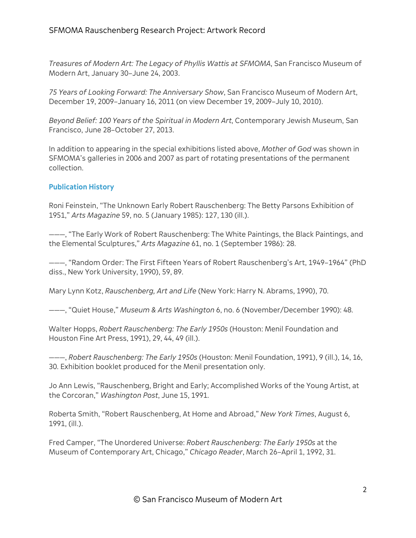*Treasures of Modern Art: The Legacy of Phyllis Wattis at SFMOMA*, San Francisco Museum of Modern Art, January 30–June 24, 2003.

*75 Years of Looking Forward: The Anniversary Show*, San Francisco Museum of Modern Art, December 19, 2009–January 16, 2011 (on view December 19, 2009–July 10, 2010).

*Beyond Belief: 100 Years of the Spiritual in Modern Art*, Contemporary Jewish Museum, San Francisco, June 28–October 27, 2013.

In addition to appearing in the special exhibitions listed above, *Mother of God* was shown in SFMOMA's galleries in 2006 and 2007 as part of rotating presentations of the permanent collection.

## **Publication History**

Roni Feinstein, "The Unknown Early Robert Rauschenberg: The Betty Parsons Exhibition of 1951," *Arts Magazine* 59, no. 5 (January 1985): 127, 130 (ill.).

———, "The Early Work of Robert Rauschenberg: The White Paintings, the Black Paintings, and the Elemental Sculptures," *Arts Magazine* 61, no. 1 (September 1986): 28.

———, "Random Order: The First Fifteen Years of Robert Rauschenberg's Art, 1949–1964" (PhD diss., New York University, 1990), 59, 89.

Mary Lynn Kotz, *Rauschenberg, Art and Life* (New York: Harry N. Abrams, 1990), 70.

———, "Quiet House," *Museum & Arts Washington* 6, no. 6 (November/December 1990): 48.

Walter Hopps, *Robert Rauschenberg: The Early 1950s* (Houston: Menil Foundation and Houston Fine Art Press, 1991), 29, 44, 49 (ill.).

———, *Robert Rauschenberg: The Early 1950s* (Houston: Menil Foundation, 1991), 9 (ill.), 14, 16, 30. Exhibition booklet produced for the Menil presentation only.

Jo Ann Lewis, "Rauschenberg, Bright and Early; Accomplished Works of the Young Artist, at the Corcoran," *Washington Post*, June 15, 1991.

Roberta Smith, "Robert Rauschenberg, At Home and Abroad," *New York Times*, August 6, 1991, (ill.).

Fred Camper, "The Unordered Universe: *Robert Rauschenberg: The Early 1950s* at the Museum of Contemporary Art, Chicago," *Chicago Reader*, March 26–April 1, 1992, 31.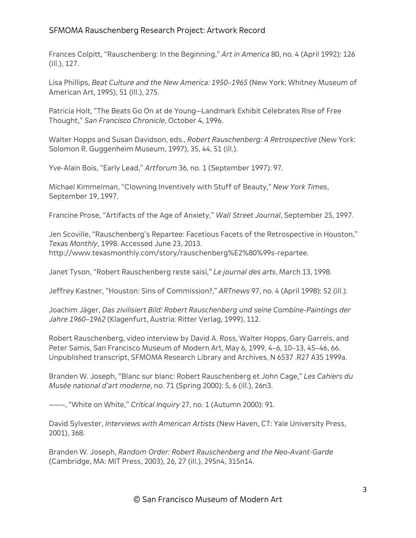Frances Colpitt, "Rauschenberg: In the Beginning," *Art in America* 80, no. 4 (April 1992): 126 (ill.), 127.

Lisa Phillips, *Beat Culture and the New America: 1950–1965* (New York: Whitney Museum of American Art, 1995), 51 (ill.), 275.

Patricia Holt, "The Beats Go On at de Young—Landmark Exhibit Celebrates Rise of Free Thought," *San Francisco Chronicle*, October 4, 1996.

Walter Hopps and Susan Davidson, eds., *Robert Rauschenberg: A Retrospective* (New York: Solomon R. Guggenheim Museum, 1997), 35, 44, 51 (ill.).

Yve-Alain Bois, "Early Lead," *Artforum* 36, no. 1 (September 1997): 97.

Michael Kimmelman, "Clowning Inventively with Stuff of Beauty," *New York Times*, September 19, 1997.

Francine Prose, "Artifacts of the Age of Anxiety," *Wall Street Journal*, September 25, 1997.

Jen Scoville, "Rauschenberg's Repartee: Facetious Facets of the Retrospective in Houston," *Texas Monthly*, 1998. Accessed June 23, 2013. http://www.texasmonthly.com/story/rauschenberg%E2%80%99s-repartee.

Janet Tyson, "Robert Rauschenberg reste saisi," *Le journal des arts*, March 13, 1998.

Jeffrey Kastner, "Houston: Sins of Commission?," *ARTnews* 97, no. 4 (April 1998): 52 (ill.).

Joachim Jäger, *Das zivilisiert Bild: Robert Rauschenberg und seine Combine-Paintings der Jahre 1960–1962* (Klagenfurt, Austria: Ritter Verlag, 1999), 112.

Robert Rauschenberg, video interview by David A. Ross, Walter Hopps, Gary Garrels, and Peter Samis, San Francisco Museum of Modern Art, May 6, 1999, 4–6, 10–13, 45–46, 66. Unpublished transcript, SFMOMA Research Library and Archives, N 6537 .R27 A35 1999a.

Branden W. Joseph, "Blanc sur blanc: Robert Rauschenberg et John Cage," *Les Cahiers du Musée national d'art moderne*, no. 71 (Spring 2000): 5, 6 (ill.), 26n3.

———, "White on White," *Critical Inquiry* 27, no. 1 (Autumn 2000): 91.

David Sylvester, *Interviews with American Artists* (New Haven, CT: Yale University Press, 2001), 368.

Branden W. Joseph, *Random Order: Robert Rauschenberg and the Neo-Avant-Garde* (Cambridge, MA: MIT Press, 2003), 26, 27 (ill.), 295n4, 315n14.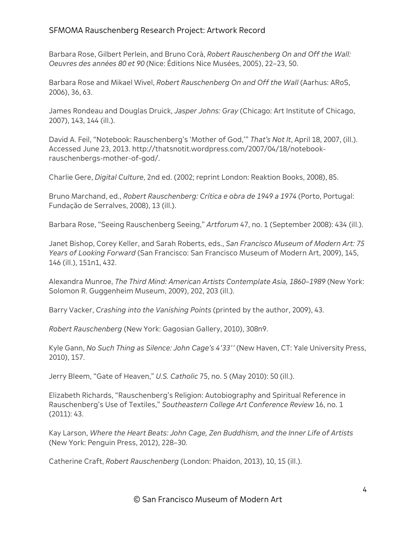Barbara Rose, Gilbert Perlein, and Bruno Corà, *Robert Rauschenberg On and Off the Wall: Oeuvres des années 80 et 90* (Nice: Éditions Nice Musées, 2005), 22–23, 50.

Barbara Rose and Mikael Wivel, *Robert Rauschenberg On and Off the Wall* (Aarhus: ARoS, 2006), 36, 63.

James Rondeau and Douglas Druick, *Jasper Johns: Gray* (Chicago: Art Institute of Chicago, 2007), 143, 144 (ill.).

David A. Feil, "Notebook: Rauschenberg's 'Mother of God,'" *That's Not It*, April 18, 2007, (ill.). Accessed June 23, 2013. http://thatsnotit.wordpress.com/2007/04/18/notebookrauschenbergs-mother-of-god/.

Charlie Gere, *Digital Culture*, 2nd ed. (2002; reprint London: Reaktion Books, 2008), 85.

Bruno Marchand, ed., *Robert Rauschenberg: Crítica e obra de 1949 a 1974* (Porto, Portugal: Fundação de Serralves, 2008), 13 (ill.).

Barbara Rose, "Seeing Rauschenberg Seeing," *Artforum* 47, no. 1 (September 2008): 434 (ill.).

Janet Bishop, Corey Keller, and Sarah Roberts, eds., *San Francisco Museum of Modern Art: 75 Years of Looking Forward* (San Francisco: San Francisco Museum of Modern Art, 2009), 145, 146 (ill.), 151n1, 432.

Alexandra Munroe, *The Third Mind: American Artists Contemplate Asia, 1860–1989* (New York: Solomon R. Guggenheim Museum, 2009), 202, 203 (ill.).

Barry Vacker, *Crashing into the Vanishing Points* (printed by the author, 2009), 43.

*Robert Rauschenberg* (New York: Gagosian Gallery, 2010), 308n9.

Kyle Gann, *No Such Thing as Silence: John Cage's 4'33''* (New Haven, CT: Yale University Press, 2010), 157.

Jerry Bleem, "Gate of Heaven," *U.S. Catholic* 75, no. 5 (May 2010): 50 (ill.).

Elizabeth Richards, "Rauschenberg's Religion: Autobiography and Spiritual Reference in Rauschenberg's Use of Textiles," *Southeastern College Art Conference Review* 16, no. 1 (2011): 43.

Kay Larson, *Where the Heart Beats: John Cage, Zen Buddhism, and the Inner Life of Artists* (New York: Penguin Press, 2012), 228–30.

Catherine Craft, *Robert Rauschenberg* (London: Phaidon, 2013), 10, 15 (ill.).